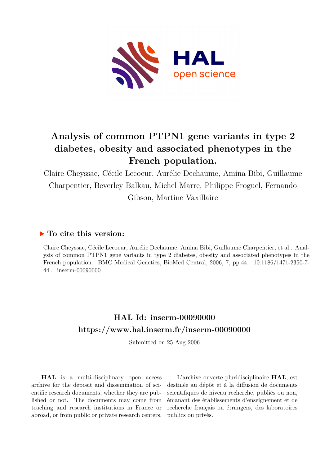

# **Analysis of common PTPN1 gene variants in type 2 diabetes, obesity and associated phenotypes in the French population.**

Claire Cheyssac, Cécile Lecoeur, Aurélie Dechaume, Amina Bibi, Guillaume Charpentier, Beverley Balkau, Michel Marre, Philippe Froguel, Fernando Gibson, Martine Vaxillaire

# **To cite this version:**

Claire Cheyssac, Cécile Lecoeur, Aurélie Dechaume, Amina Bibi, Guillaume Charpentier, et al.. Analysis of common PTPN1 gene variants in type 2 diabetes, obesity and associated phenotypes in the French population.. BMC Medical Genetics, BioMed Central, 2006, 7, pp.44.  $10.1186/1471-2350-7-$ 44. inserm-00090000

# **HAL Id: inserm-00090000 <https://www.hal.inserm.fr/inserm-00090000>**

Submitted on 25 Aug 2006

**HAL** is a multi-disciplinary open access archive for the deposit and dissemination of scientific research documents, whether they are published or not. The documents may come from teaching and research institutions in France or abroad, or from public or private research centers.

L'archive ouverte pluridisciplinaire **HAL**, est destinée au dépôt et à la diffusion de documents scientifiques de niveau recherche, publiés ou non, émanant des établissements d'enseignement et de recherche français ou étrangers, des laboratoires publics ou privés.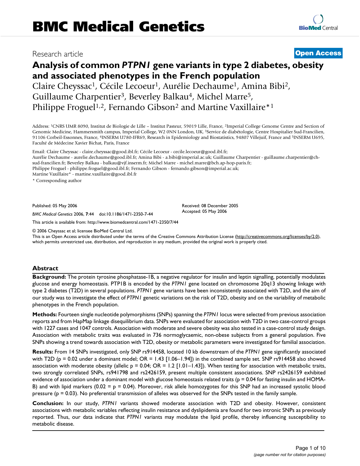## Research article **Contract Contract Contract Contract Contract Contract Contract Contract Contract Contract Contract Contract Contract Contract Contract Contract Contract Contract Contract Contract Contract Contract Contra**

# **Analysis of common** *PTPN1* **gene variants in type 2 diabetes, obesity and associated phenotypes in the French population** Claire Cheyssac<sup>1</sup>, Cécile Lecoeur<sup>1</sup>, Aurélie Dechaume<sup>1</sup>, Amina Bibi<sup>2</sup>, Guillaume Charpentier<sup>3</sup>, Beverley Balkau<sup>4</sup>, Michel Marre<sup>5</sup>,

Philippe Froguel<sup>1,2</sup>, Fernando Gibson<sup>2</sup> and Martine Vaxillaire<sup>\*1</sup>

Address: <sup>1</sup>CNRS UMR 8090, Institut de Biologie de Lille – Institut Pasteur, 59019 Lille, France, <sup>2</sup>Imperial College Genome Centre and Section of Genomic Medicine, Hammersmith campus, Imperial College, W2 0NN London, UK, <sup>3</sup>Service de diabétologie, Centre Hospitalier Sud-Francilien, 91106 Corbeil-Essonnes, France, <sup>4</sup>INSERM U780-IFR69, Research in Epidemiology and Biostatistics, 94807 Villejuif, France and <sup>5</sup>INSERM U695, Faculté de Médecine Xavier Bichat, Paris, France

Email: Claire Cheyssac - claire.cheyssac@good.ibl.fr; Cécile Lecoeur - cecile.lecoeur@good.ibl.fr; Aurélie Dechaume - aurelie.dechaume@good.ibl.fr; Amina Bibi - a.bibi@imperial.ac.uk; Guillaume Charpentier - guillaume.charpentier@chsud-francilien.fr; Beverley Balkau - balkau@vjf.inserm.fr; Michel Marre - michel.marre@bch.ap-hop-paris.fr; Philippe Froguel - philippe.froguel@good.ibl.fr; Fernando Gibson - fernando.gibson@imperial.ac.uk; Martine Vaxillaire\* - martine.vaxillaire@good.ibl.fr

\* Corresponding author

Published: 05 May 2006

*BMC Medical Genetics* 2006, **7**:44 doi:10.1186/1471-2350-7-44

[This article is available from: http://www.biomedcentral.com/1471-2350/7/44](http://www.biomedcentral.com/1471-2350/7/44)

© 2006 Cheyssac et al; licensee BioMed Central Ltd.

This is an Open Access article distributed under the terms of the Creative Commons Attribution License [\(http://creativecommons.org/licenses/by/2.0\)](http://creativecommons.org/licenses/by/2.0), which permits unrestricted use, distribution, and reproduction in any medium, provided the original work is properly cited.

Received: 08 December 2005 Accepted: 05 May 2006

### **Abstract**

**Background:** The protein tyrosine phosphatase-1B, a negative regulator for insulin and leptin signalling, potentially modulates glucose and energy homeostasis. PTP1B is encoded by the *PTPN1* gene located on chromosome 20q13 showing linkage with type 2 diabetes (T2D) in several populations. *PTPN1* gene variants have been inconsistently associated with T2D, and the aim of our study was to investigate the effect of *PTPN1* genetic variations on the risk of T2D, obesity and on the variability of metabolic phenotypes in the French population.

**Methods:** Fourteen single nucleotide polymorphisms (SNPs) spanning the *PTPN1* locus were selected from previous association reports and from HapMap linkage disequilibrium data. SNPs were evaluated for association with T2D in two case-control groups with 1227 cases and 1047 controls. Association with moderate and severe obesity was also tested in a case-control study design. Association with metabolic traits was evaluated in 736 normoglycaemic, non-obese subjects from a general population. Five SNPs showing a trend towards association with T2D, obesity or metabolic parameters were investigated for familial association.

**Results:** From 14 SNPs investigated, only SNP rs914458, located 10 kb downstream of the *PTPN1* gene significantly associated with T2D ( $p = 0.02$  under a dominant model; OR = 1.43 [1.06–1.94]) in the combined sample set. SNP rs914458 also showed association with moderate obesity (allelic  $p = 0.04$ ; OR = 1.2 [1.01–1.43]). When testing for association with metabolic traits, two strongly correlated SNPs, rs941798 and rs2426159, present multiple consistent associations. SNP rs2426159 exhibited evidence of association under a dominant model with glucose homeostasis related traits ( $p = 0.04$  for fasting insulin and HOMA-B) and with lipid markers  $(0.02 = p = 0.04)$ . Moreover, risk allele homozygotes for this SNP had an increased systolic blood pressure ( $p = 0.03$ ). No preferential transmission of alleles was observed for the SNPs tested in the family sample.

**Conclusion:** In our study, *PTPN1* variants showed moderate association with T2D and obesity. However, consistent associations with metabolic variables reflecting insulin resistance and dyslipidemia are found for two intronic SNPs as previously reported. Thus, our data indicate that *PTPN1* variants may modulate the lipid profile, thereby influencing susceptibility to metabolic disease.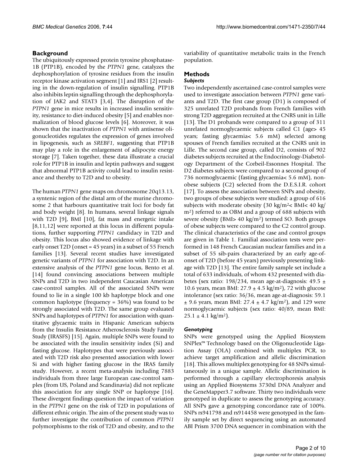### **Background**

The ubiquitously expressed protein tyrosine phosphatase-1B (PTP1B), encoded by the *PTPN1* gene, catalyzes the dephosphorylation of tyrosine residues from the insulin receptor kinase activation segment [1] and IRS1 [2] resulting in the down-regulation of insulin signalling. PTP1B also inhibits leptin signalling through the dephosphorylation of JAK2 and STAT3 [3,4]. The disruption of the *PTPN1* gene in mice results in increased insulin sensitivity, resistance to diet-induced obesity [5] and enables normalization of blood glucose levels [6]. Moreover, it was shown that the inactivation of *PTPN1* with antisense oligonucleotides regulates the expression of genes involved in lipogenesis, such as *SREBF1*, suggesting that PTP1B may play a role in the enlargement of adipocyte energy storage [7]. Taken together, these data illustrate a crucial role for PTP1B in insulin and leptin pathways and suggest that abnormal PTP1B activity could lead to insulin resistance and thereby to T2D and to obesity.

The human *PTPN1* gene maps on chromosome 20q13.13, a syntenic region of the distal arm of the murine chromosome 2 that harbours quantitative trait loci for body fat and body weight [8]. In humans, several linkage signals with T2D [9], BMI [10], fat mass and energetic intake [8,11,12] were reported at this locus in different populations, further supporting *PTPN1* candidacy in T2D and obesity. This locus also showed evidence of linkage with early onset T2D (onset = 45 years) in a subset of 55 French families [13]. Several recent studies have investigated genetic variants of *PTPN1* for association with T2D. In an extensive analysis of the *PTPN1* gene locus, Bento et al. [14] found convincing associations between multiple SNPs and T2D in two independent Caucasian American case-control samples. All of the associated SNPs were found to lie in a single 100 kb haplotype block and one common haplotype (frequency = 36%) was found to be strongly associated with T2D. The same group evaluated SNPs and haplotypes of *PTPN1* for association with quantitative glycaemic traits in Hispanic American subjects from the Insulin Resistance Atherosclerosis Study Family Study (IRASFS) [15]. Again, multiple SNPs were found to be associated with the insulin sensitivity index (Si) and fasting glucose. Haplotypes that were previously associated with T2D risk also presented association with lower Si and with higher fasting glucose in the IRAS family study. However, a recent meta-analysis including 7883 individuals from three large European case-control samples (from US, Poland and Scandinavia) did not replicate this association for any single SNP or haplotype [16]. These divergent findings question the impact of variation in the *PTPN1* gene on the risk of T2D in populations of different ethnic origin. The aim of the present study was to further investigate the contribution of common *PTPN1* polymorphisms to the risk of T2D and obesity, and to the

variability of quantitative metabolic traits in the French population.

## **Methods**

# *Subjects*

Two independently ascertained case-control samples were used to investigate association between *PTPN1* gene variants and T2D. The first case group (D1) is composed of 325 unrelated T2D probands from French families with strong T2D aggregation recruited at the CNRS unit in Lille [13]. The D1 probands were compared to a group of 311 unrelated normoglycaemic subjects called C1 (age> 45 years; fasting glycaemia< 5.6 mM) selected among spouses of French families recruited at the CNRS unit in Lille. The second case group, called D2, consists of 902 diabetes subjects recruited at the Endocrinology-Diabetology Department of the Corbeil-Essonnes Hospital. The D2 diabetes subjects were compared to a second group of 736 normoglycaemic (fasting glycaemia< 5.6 mM), nonobese subjects (C2) selected from the D.E.S.I.R. cohort [17]. To assess the association between SNPs and obesity, two groups of obese subjects were studied: a group of 616 subjects with moderate obesity (30 kg/m<sup>2</sup> < BMI < 40 kg/ m<sup>2</sup>) referred to as OBM and a group of 688 subjects with severe obesity (BMI> 40 kg/m<sup>2</sup>) termed SO. Both groups of obese subjects were compared to the C2 control group. The clinical characteristics of the case and control groups are given in Table 1. Familial association tests were performed in 148 French Caucasian nuclear families and in a subset of 55 sib-pairs characterized by an early age-ofonset of T2D (before 45 years) previously presenting linkage with T2D [13]. The entire family sample set include a total of 633 individuals, of whom 432 presented with diabetes (sex ratio: 198/234, mean age-at-diagnosis: 49.5 ± 10.6 years, mean BMI:  $27.9 \pm 4.5$  kg/m<sup>2</sup>), 72 with glucose intolerance (sex ratio: 36/36, mean age-at-diagnosis: 59.1  $\pm$  9.6 years, mean BMI: 27.4  $\pm$  4.7 kg/m<sup>2</sup>), and 129 were normoglycaemic subjects (sex ratio: 40/89, mean BMI:  $25.1 \pm 4.1$  kg/m<sup>2</sup>).

### *Genotyping*

SNPs were genotyped using the Applied Biosystem SNPlex™ Technology based on the Oligonucleotide Ligation Assay (OLA) combined with multiplex PCR, to achieve target amplification and allelic discrimination [18]. This allows multiplex genotyping for 48 SNPs simultaneously in a unique sample. Allelic discrimination is performed through a capillary electrophoresis analysis using an Applied Biosystems 3730xl DNA Analyzer and the GeneMapper3.7 software. Thirty two individuals were genotyped in duplicate to assess the genotyping accuracy. All SNPs gave a genotyping concordance rate of 100%. SNPs rs941798 and rs914458 were genotyped in the family sample set by direct sequencing using an automated ABI Prism 3700 DNA sequencer in combination with the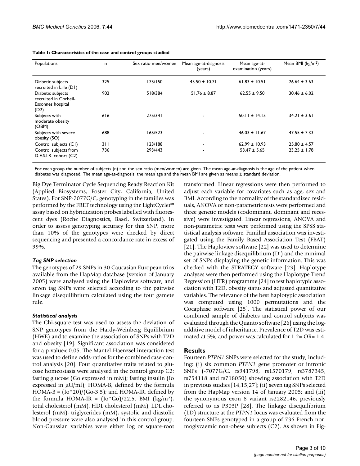| Populations                                                             | n   | Sex ratio men/women | Mean age-at-diagnosis<br>(years) | Mean age-at-<br>examination (years) | Mean BMI ( $kg/m2$ ) |
|-------------------------------------------------------------------------|-----|---------------------|----------------------------------|-------------------------------------|----------------------|
|                                                                         |     |                     |                                  |                                     |                      |
| Diabetic subjects<br>recruited in Lille (D1)                            | 325 | 175/150             | $45.50 \pm 10.71$                | $61.83 \pm 10.51$                   | $26.64 \pm 3.63$     |
| Diabetic subjects<br>recruited in Corbeil-<br>Essonnes hospital<br>(D2) | 902 | 518/384             | $51.76 \pm 8.87$                 | $62.55 \pm 9.50$                    | $30.46 \pm 6.02$     |
| Subjects with<br>moderate obesity<br>(OBM)                              | 616 | 275/341             |                                  | $50.11 \pm 14.15$                   | $34.21 \pm 3.61$     |
| Subjects with severe<br>obesity (SO)                                    | 688 | 165/523             |                                  | $46.03 \pm 11.67$                   | $47.55 \pm 7.33$     |
| Control subjects (C1)                                                   | 311 | 123/188             | $\overline{\phantom{a}}$         | $62.99 \pm 10.93$                   | $25.80 \pm 4.57$     |
| Control subjects from<br>D.E.S.I.R. cohort (C2)                         | 736 | 293/443             | $\overline{\phantom{a}}$         | $53.47 \pm 5.65$                    | $23.25 \pm 1.78$     |

| Table 1: Characteristics of the case and control groups studied |  |  |  |
|-----------------------------------------------------------------|--|--|--|
|                                                                 |  |  |  |

For each group the number of subjects (n) and the sex ratio (men/women) are given. The mean age-at-diagnosis is the age of the patient when diabetes was diagnosed. The mean age-at-diagnosis, the mean age and the mean BMI are given as means ± standard deviation.

Big Dye Terminator Cycle Sequencing Ready Reaction Kit (Applied Biosystems, Foster City, California, United States). For SNP-7077G/C, genotyping in the families was performed by the FRET technology using the LightCycler™ assay based on hybridization probes labelled with fluorescent dyes (Roche Diagnostics, Basel, Switzerland). In order to assess genotyping accuracy for this SNP, more than 10% of the genotypes were checked by direct sequencing and presented a concordance rate in excess of 99%.

### *Tag SNP selection*

The genotypes of 29 SNPs in 30 Caucasian European trios available from the HapMap database (version of January 2005) were analysed using the Haploview software, and seven tag SNPs were selected according to the pairwise linkage disequilibrium calculated using the four gamete rule.

### *Statistical analysis*

The Chi-square test was used to assess the deviation of SNP genotypes from the Hardy-Weinberg Equilibrium (HWE) and to examine the association of SNPs with T2D and obesity [19]. Significant association was considered for a p-value< 0.05. The Mantel-Haenzsel interaction test was used to define odds-ratios for the combined case-control analysis [20]. Four quantitative traits related to glucose homeostasis were analysed in the control group C2: fasting glucose (Go expressed in mM); fasting insulin (Io expressed in  $\mu$ U/ml); HOMA-B, defined by the formula  $HOMA-B = (Io*20)/(Go-3.5)$ ; and  $HOMA-IR$ , defined by the formula HOMA-IR =  $(10<sup>*</sup>Go)/22.5$ . BMI  $(kg/m<sup>2</sup>)$ , total cholesterol (mM), HDL cholesterol (mM), LDL cholesterol (mM), triglycerides (mM), systolic and diastolic blood pressure were also analysed in this control group. Non-Gaussian variables were either log or square-root transformed. Linear regressions were then performed to adjust each variable for covariates such as age, sex and BMI. According to the normality of the standardized residuals, ANOVA or non-parametric tests were performed and three genetic models (codominant, dominant and recessive) were investigated. Linear regressions, ANOVA and non-parametric tests were performed using the SPSS statistical analysis software. Familial association was investigated using the Family Based Association Test (FBAT) [21]. The Haploview software [22] was used to determine the pairwise linkage disequilibrium (D') and the minimal set of SNPs displaying the genetic information. This was checked with the STRATEGY software [23]. Haplotype analyses were then performed using the Haplotype Trend Regression (HTR) programme [24] to test haplotypic association with T2D, obesity status and adjusted quantitative variables. The relevance of the best haplotypic association was computed using 1000 permutations and the Cocaphase software [25]. The statistical power of our combined sample of diabetes and control subjects was evaluated through the Quanto software [26] using the logadditive model of inheritance. Prevalence of T2D was estimated at 5%, and power was calculated for 1.2= OR= 1.4.

## **Results**

Fourteen *PTPN1* SNPs were selected for the study, including: (i) six common *PTPN1* gene promoter or intronic SNPs (-7077G/C, rs941798, rs1570179, rs3787345, rs754118 and rs718050) showing association with T2D in previous studies [14,15,27]; (ii) seven tag SNPs selected from the HapMap version 14 of January 2005; and (iii) the synonymous exon 8 variant rs2282146, previously referred to as P303P [28]. The linkage disequilibrium (LD) structure at the *PTPN1* locus was evaluated from the fourteen SNPs genotyped in a group of 736 French normoglycaemic non-obese subjects (C2). As shown in Fig-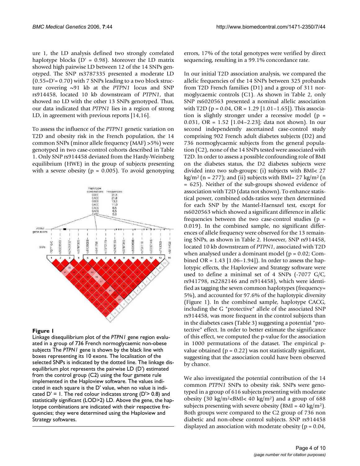ure 1, the LD analysis defined two strongly correlated haplotype blocks  $(D' = 0.98)$ . Moreover the LD matrix showed high pairwise LD between 12 of the 14 SNPs genotyped. The SNP rs3787335 presented a moderate LD  $(0.55=D'=0.70)$  with 7 SNPs leading to a two block structure covering ~91 kb at the *PTPN1* locus and SNP rs914458, located 10 kb downstream of *PTPN1*, that showed no LD with the other 13 SNPs genotyped. Thus, our data indicated that *PTPN1* lies in a region of strong LD, in agreement with previous reports [14,16].

To assess the influence of the *PTPN1* genetic variation on T2D and obesity risk in the French population, the 14 common SNPs (minor allele frequency (MAF) >5%) were genotyped in two case-control cohorts described in Table 1. Only SNP rs914458 deviated from the Hardy-Weinberg equilibrium (HWE) in the group of subjects presenting with a severe obesity ( $p = 0.005$ ). To avoid genotyping



### Figure 1

Linkage disequilibrium plot of the *PTPN1* gene region evaluated in a group of 736 French normoglycaemic non-obese subjects The *PTPN1* gene is shown by the black line with boxes representing its 10 exons. The localisation of the selected SNPs is indicated by the dotted line. The linkage disequilibrium plot represents the pairwise LD (D') estimated from the control group (C2) using the four gamete rule implemented in the Haploview software. The values indicated in each square is the D' value, when no value is indicated  $D' = I$ . The red colour indicates strong ( $D' > 0.8$ ) and statistically significant (LOD>2) LD. Above the gene, the haplotype combinations are indicated with their respective frequencies; they were determined using the Haploview and Strategy softwares.

errors, 17% of the total genotypes were verified by direct sequencing, resulting in a 99.1% concordance rate.

In our initial T2D association analysis, we compared the allelic frequencies of the 14 SNPs between 325 probands from T2D French families (D1) and a group of 311 normoglycaemic controls (C1). As shown in Table 2, only SNP rs6020563 presented a nominal allelic association with T2D ( $p = 0.04$ , OR = 1.29 [1.01–1.65]). This association is slightly stronger under a recessive model ( $p =$ 0.031, OR = 1.52 [1.04–2.23]; data not shown). In our second independently ascertained case-control study comprising 902 French adult diabetes subjects (D2) and 736 normoglycaemic subjects from the general population (C2), none of the 14 SNPs tested were associated with T2D. In order to assess a possible confounding role of BMI on the diabetes status, the D2 diabetes subjects were divided into two sub-groups: (i) subjects with BMI< 27  $\text{kg/m}^2$  (n = 277); and (ii) subjects with BMI= 27 kg/m<sup>2</sup> (n = 625). Neither of the sub-groups showed evidence of association with T2D (data not shown). To enhance statistical power, combined odds-ratios were then determined for each SNP by the Mantel-Haenszel test, except for rs6020563 which showed a significant difference in allelic frequencies between the two case-control studies ( $p =$ 0.019). In the combined sample, no significant differences of allele frequency were observed for the 13 remaining SNPs, as shown in Table 2. However, SNP rs914458, located 10 kb downstream of *PTPN1*, associated with T2D when analysed under a dominant model ( $p = 0.02$ ; Combined OR =  $1.43$  [1.06–1.94]). In order to assess the haplotypic effects, the Haploview and Strategy software were used to define a minimal set of 4 SNPs (-7077 G/C, rs941798, rs2282146 and rs914458), which were identified as tagging the seven common haplotypes (frequency= 5%), and accounted for 97.6% of the haplotypic diversity (Figure 1). In the combined sample, haplotype CACG, including the G "protective" allele of the associated SNP rs914458, was more frequent in the control subjects than in the diabetes cases (Table 3) suggesting a potential "protective" effect. In order to better estimate the significance of this effect, we computed the p-value for the association in 1000 permutations of the dataset. The empirical pvalue obtained ( $p = 0.22$ ) was not statistically significant, suggesting that the association could have been observed by chance.

We also investigated the potential contribution of the 14 common *PTPN1* SNPs to obesity risk. SNPs were genotyped in a group of 616 subjects presenting with moderate obesity (30 kg/m<sup>2</sup><BMI< 40 kg/m<sup>2</sup>) and a group of 688 subjects presenting with severe obesity ( $BMI = 40 \text{ kg/m}^2$ ). Both groups were compared to the C2 group of 736 non diabetic and non-obese control subjects. SNP rs914458 displayed an association with moderate obesity ( $p = 0.04$ ,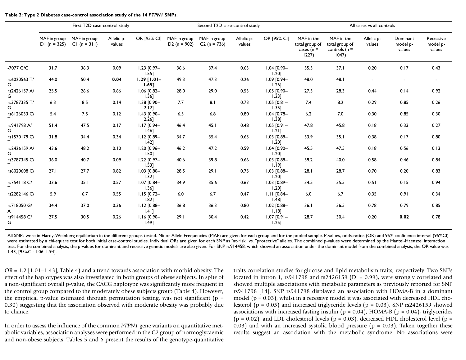|                   |                               | First T2D case-control study   |                      |                              |                                | Second T2D case-control study  |                      |                              |                                                       |                                                          | All cases vs all controls |                                | Recessive          |  |  |  |
|-------------------|-------------------------------|--------------------------------|----------------------|------------------------------|--------------------------------|--------------------------------|----------------------|------------------------------|-------------------------------------------------------|----------------------------------------------------------|---------------------------|--------------------------------|--------------------|--|--|--|
|                   | MAF in group<br>$DI(n = 325)$ | MAF in group<br>$CI (n = 311)$ | Allelic p-<br>values | OR [95% CI]                  | MAF in group<br>$D2 (n = 902)$ | MAF in group<br>$C2 (n = 736)$ | Allelic p-<br>values | OR [95% CI]                  | MAF in the<br>total group of<br>cases ( $n =$<br>1227 | MAF in the<br>total group of<br>controls ( $n =$<br>1047 | Allelic p-<br>values      | Dominant<br>model p-<br>values | model p-<br>values |  |  |  |
| -7077 G/C         | 31.7                          | 36.3                           | 0.09                 | $1.23$ [0.97-<br>$1.55$ ]    | 36.6                           | 37.4                           | 0.63                 | $1.04$ $[0.90 -$<br>1.20     | 35.3                                                  | 37.1                                                     | 0.20                      | 0.17                           | 0.43               |  |  |  |
| rs6020563 T/<br>G | 44.0                          | 50.4                           | 0.04                 | $1.29$ $[1.01 -$<br>$1.65$ ] | 49.3                           | 47.3                           | 0.26                 | $1.09$ $[0.94 -$<br>$1.26$ ] | 48.0                                                  | 48.1                                                     | $\overline{a}$            | $\sim$                         |                    |  |  |  |
| rs2426157 A/<br>G | 25.5                          | 26.6                           | 0.66                 | $1.06$ $[0.82-$<br>1.361     | 28.0                           | 29.0                           | 0.53                 | $1.05$ $[0.90 -$<br>1.231    | 27.3                                                  | 28.3                                                     | 0.44                      | 0.14                           | 0.92               |  |  |  |
| rs3787335 T/<br>G | 6.3                           | 8.5                            | 0.14                 | $1.38$ [0.90-<br>$2.12$ ]    | 7.7                            | 8.1                            | 0.73                 | $1.05$ [0.81-<br>$1.35$ ]    | 7.4                                                   | 8.2                                                      | 0.29                      | 0.85                           | 0.26               |  |  |  |
| rs6126033 C/      | 5.4                           | 7.5                            | 0.12                 | $1.43$ $[0.90 -$<br>2.26]    | 6.5                            | 6.8                            | 0.80                 | $1.04$ $[0.78 -$<br>$1.38$ ] | 6.2                                                   | 7.0                                                      | 0.30                      | 0.85                           | 0.30               |  |  |  |
| rs941798 A/<br>G  | 51.4                          | 47.5                           | 0.17                 | $1.17$ $[0.94 -$<br>$1.46$ ] | 46.4                           | 45.1                           | 0.48                 | $1.05$ [0.91-<br>$1.21$ ]    | 47.8                                                  | 45.8                                                     | 0.18                      | 0.33                           | 0.27               |  |  |  |
| rs1570179 C/      | 31.8                          | 34.4                           | 0.34                 | $1.12$ $[0.89-$<br>$1.42$ ]  | 34.7                           | 35.4                           | 0.65                 | $1.03$ $[0.89-$<br>$1.20$ ]  | 33.9                                                  | 35.1                                                     | 0.38                      | 0.17                           | 0.80               |  |  |  |
| rs2426159 A/<br>G | 43.6                          | 48.2                           | 0.10                 | $1.20$ $[0.96 -$<br>1.501    | 46.2                           | 47.2                           | 0.59                 | $1.04$ $[0.90 -$<br>1.201    | 45.5                                                  | 47.5                                                     | 0.18                      | 0.56                           | 0.13               |  |  |  |
| rs3787345 C/      | 36.0                          | 40.7                           | 0.09                 | $1.22$ $[0.97 -$<br>1.531    | 40.6                           | 39.8                           | 0.66                 | $1.03$ $[0.89-$<br>1.191     | 39.2                                                  | 40.0                                                     | 0.58                      | 0.46                           | 0.84               |  |  |  |
| rs6020608 C/      | 27.1                          | 27.7                           | 0.82                 | $1.03$ $[0.80 -$<br>1.321    | 28.5                           | 29.1                           | 0.75                 | $1.03$ $[0.88 -$<br>1.201    | 28.1                                                  | 28.7                                                     | 0.70                      | 0.20                           | 0.83               |  |  |  |
| rs754118 C/       | 33.6                          | 35.1                           | 0.57                 | $1.07$ $[0.84-$<br>$1.36$ ]  | 34.9                           | 35.6                           | 0.67                 | $1.03$ $[0.89-$<br>1.201     | 34.5                                                  | 35.5                                                     | 0.51                      | 0.15                           | 0.94               |  |  |  |
| rs2282146 C/      | 5.9                           | 6.7                            | 0.55                 | $1.15$ $[0.72 -$<br>1.82]    | 6.0                            | 6.7                            | 0.47                 | $1.11$ $[0.84-$<br>$1.48$ ]  | 6.0                                                   | 6.7                                                      | 0.35                      | 0.91                           | 0.34               |  |  |  |
| rs718050 G/<br>A  | 34.4                          | 37.0                           | 0.36                 | $1.12$ $[0.88 -$<br>$1.41$ ] | 36.8                           | 36.3                           | 0.80                 | $1.02$ $[0.88 -$<br>$1.18$ ] | 36.1                                                  | 36.5                                                     | 0.78                      | 0.79                           | 0.85               |  |  |  |
| rs914458 C/<br>G  | 27.5                          | 30.5                           | 0.26                 | $1.16$ $[0.90 -$<br>1.49     | 29.1                           | 30.4                           | 0.42                 | $1.07$ [0.91-<br>1.251       | 28.7                                                  | 30.4                                                     | 0.20                      | 0.02                           | 0.78               |  |  |  |

**Table 2: Type 2 Diabetes case-control association study of the 14** *PTPN1* **SNPs.**

All SNPs were in Hardy-Weinberg equilibrium in the different groups tested. Minor Allele Frequencies (MAF) are given for each group and for the pooled sample. P-values, odds-ratios (OR) and 95% confidence interval (95%CI) were estimated by a chi-square test for both initial case-control studies. Individual ORs are given for each SNP as "at-risk" vs. "protective" alleles. The combined p-values were determined by the Mantel-Haenszel interacti test. For the combined analysis, the p-values for dominant and recessive genetic models are also given. For SNP rs914458, which showed an association under the dominant model from the combined analysis, the OR value was 1.43, [95%CI: 1.06–1.94].

 $OR = 1.2$  [1.01–1.43], Table 4) and a trend towards association with morbid obesity. The effect of the haplotypes was also investigated in both groups of obese subjects. In spite of a non-significant overall p-value, the CACG haplotype was significantly more frequent in the control group compared to the moderately obese subjects group (Table 4). However, the empirical p-value estimated through permutation testing, was not significant ( $p =$ 0.30) suggesting that the association observed with moderate obesity was probably due to chance.

In order to assess the influence of the common *PTPN1* gene variants on quantitative metabolic variables, association analyses were performed in the C2 group of normoglycaemic and non-obese subjects. Tables 5 and 6 present the results of the genotype-quantitative traits correlation studies for glucose and lipid metabolism traits, respectively. Two SNPs located in intron 1, rs941798 and rs2426159 (D' = 0.99), were strongly correlated and showed multiple associations with metabolic parameters as previously reported for SNP rs941798 [14]. SNP rs941798 displayed an association with HOMA-B in a dominant model ( $p = 0.03$ ), whilst in a recessive model it was associated with decreased HDL cholesterol ( $p = 0.05$ ) and increased triglyceride levels ( $p = 0.03$ ). SNP rs2426159 showed associations with increased fasting insulin ( $p = 0.04$ ), HOMA-B ( $p = 0.04$ ), triglycerides  $(p = 0.02)$ , and LDL cholesterol levels  $(p = 0.03)$ , decreased HDL cholesterol level  $(p = 0.02)$ 0.03) and with an increased systolic blood pressure ( $p = 0.03$ ). Taken together these results suggest an association with the metabolic syndrome. No associations were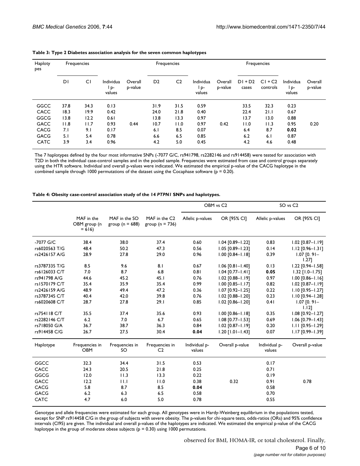| Haploty<br>pes |      | Frequencies |                           |                    |                | Frequencies    |                          |                    |                    | Frequencies           |                             |                    |
|----------------|------|-------------|---------------------------|--------------------|----------------|----------------|--------------------------|--------------------|--------------------|-----------------------|-----------------------------|--------------------|
|                | DΙ   | CI          | Individua<br>D-<br>values | Overall<br>p-value | D <sub>2</sub> | C <sub>2</sub> | Individua<br>P<br>values | Overall<br>p-value | $DI + D2$<br>cases | $CI + C2$<br>controls | Individua<br>l p-<br>values | Overall<br>p-value |
| GGCC           | 37.8 | 34.3        | 0.13                      |                    | 31.9           | 31.5           | 0.59                     |                    | 33.5               | 32.3                  | 0.23                        |                    |
| CACC           | 18.3 | 19.9        | 0.42                      |                    | 24.0           | 21.8           | 0.40                     |                    | 22.4               | 21.1                  | 0.67                        |                    |
| GGCG           | 13.8 | 12.2        | 0.61                      |                    | 13.8           | 13.3           | 0.97                     |                    | 13.7               | 13.0                  | 0.88                        |                    |
| <b>GACC</b>    | 11.8 | 11.7        | 0.93                      | 0.44               | 10.7           | 11.0           | 0.97                     | 0.42               | 11.0               | 11.3                  | 0.95                        | 0.20               |
| <b>CACG</b>    | 7.1  | 9.1         | 0.17                      |                    | 6.1            | 8.5            | 0.07                     |                    | 6.4                | 8.7                   | 0.02                        |                    |
| <b>GACG</b>    | 5.1  | 5.4         | 0.78                      |                    | 6.6            | 6.5            | 0.85                     |                    | 6.2                | 6.1                   | 0.87                        |                    |
| <b>CATC</b>    | 3.9  | 3.4         | 0.96                      |                    | 4.2            | 5.0            | 0.45                     |                    | 4.2                | 4.6                   | 0.48                        |                    |

| Table 3: Type 2 Diabetes association analysis for the seven common haplotypes |  |
|-------------------------------------------------------------------------------|--|
|-------------------------------------------------------------------------------|--|

The 7 haplotypes defined by the four most informative SNPs (-7077 G/C, rs941798, rs2282146 and rs914458) were tested for association with T2D in both the individual case-control samples and in the pooled sample. Frequencies were estimated from case and control groups separately using the HTR software. Individual and overall p-values were indicated. We estimated the empirical p-value of the CACG haplotype in the combined sample through 1000 permutations of the dataset using the Cocaphase software ( $p = 0.20$ ).

#### **Table 4: Obesity case-control association study of the 14** *PTPN1* **SNPs and haplotypes.**

|               |                                       |                                      |                                      | OBM vs C <sub>2</sub>   |                        |                         | SO vs C <sub>2</sub>      |
|---------------|---------------------------------------|--------------------------------------|--------------------------------------|-------------------------|------------------------|-------------------------|---------------------------|
|               | MAF in the<br>OBM group (n<br>$= 616$ | MAF in the SO<br>group ( $n = 688$ ) | MAF in the C2<br>group ( $n = 736$ ) | Allelic p-values        | OR [95% CI]            | Allelic p-values        | OR [95% CI]               |
| -7077 G/C     | 38.4                                  | 38.0                                 | 37.4                                 | 0.60                    | $1.04$ [0.89-1.22]     | 0.83                    | 1.02 [0.87-1.19]          |
| rs6020563 T/G | 48.4                                  | 50.2                                 | 47.3                                 | 0.56                    | $1.05$ $[0.89 - 1.23]$ | 0.14                    | $1.12$ [0.96-1.31]        |
| rs2426157 A/G | 28.9                                  | 27.8                                 | 29.0                                 | 0.96                    | $1.00$ $[0.84 - 1.18]$ | 0.39                    | $1.07$ [0.91-<br>1.271    |
| rs3787335 T/G | 8.5                                   | 9.6                                  | 8.1                                  | 0.67                    | $1.06$ [0.81-1.40]     | 0.13                    | $1.22$ [0.94-1.58]        |
| rs6126033 C/T | 7.0                                   | 8.7                                  | 6.8                                  | 0.81                    | $1.04$ [0.77-1.41]     | 0.05                    | $1.32$ [1.0-1.75]         |
| rs941798 A/G  | 44.6                                  | 45.2                                 | 45.1                                 | 0.76                    | $1.02$ $[0.88 - 1.19]$ | 0.97                    | $1.00$ [0.86-1.16]        |
| rs1570179 C/T | 35.4                                  | 35.9                                 | 35.4                                 | 0.99                    | $1.00$ $[0.85 - 1.17]$ | 0.82                    | $1.02$ [0.87-1.19]        |
| rs2426159 A/G | 48.9                                  | 49.4                                 | 47.2                                 | 0.36                    | $1.07$ [0.92-1.25]     | 0.22                    | $1.10$ [0.95-1.27]        |
| rs3787345 C/T | 40.4                                  | 42.0                                 | 39.8                                 | 0.76                    | 1.02 [0.88-1.20]       | 0.23                    | $1.10$ [0.94-1.28]        |
| rs6020608 C/T | 28.7                                  | 27.8                                 | 29.1                                 | 0.85                    | $1.02$ $[0.86 - 1.20]$ | 0.41                    | $1.07$ [0.91-<br>$1.12$ ] |
| rs754118 C/T  | 35.5                                  | 37.4                                 | 35.6                                 | 0.93                    | $1.00$ $[0.86 - 1.18]$ | 0.35                    | $1.08$ [0.92-1.27]        |
| rs2282146 C/T | 6.2                                   | 7.0                                  | 6.7                                  | 0.65                    | $1.08$ [0.77-1.53]     | 0.69                    | $1.06$ [0.79-1.43]        |
| rs718050 G/A  | 36.7                                  | 38.7                                 | 36.3                                 | 0.84                    | $1.02$ [0.87-1.19]     | 0.20                    | $1.11$ $[0.95 - 1.29]$    |
| rs914458 C/G  | 26.7                                  | 27.5                                 | 30.4                                 | 0.04                    | $1.20$ [1.01-1.43]     | 0.07                    | $1.17$ [0.99-1.39]        |
| Haplotype     | Frequencies in<br><b>OBM</b>          | Frequencies in<br>SO                 | Frequencies in<br>C <sub>2</sub>     | Individual p-<br>values | Overall p-value        | Individual p-<br>values | Overall p-value           |
| GGCC          | 32.3                                  | 34.4                                 | 31.5                                 | 0.53                    |                        | 0.17                    |                           |
| CACC          | 24.3                                  | 20.5                                 | 21.8                                 | 0.25                    |                        | 0.71                    |                           |
| GGCG          | 12.0                                  | 11.3                                 | 13.3                                 | 0.22                    |                        | 0.19                    |                           |
| GACC          | 12.2                                  | 11.1                                 | 11.0                                 | 0.38                    | 0.32                   | 0.91                    | 0.78                      |
| CACG          | 5.8                                   | 8.7                                  | 8.5                                  | 0.04                    |                        | 0.58                    |                           |
| <b>GACG</b>   | 6.2                                   | 6.3                                  | 6.5                                  | 0.58                    |                        | 0.70                    |                           |
| <b>CATC</b>   | 4.7                                   | 6.0                                  | 5.0                                  | 0.78                    |                        | 0.55                    |                           |

Genotype and allele frequencies were estimated for each group. All genotypes were in Hardy-Weinberg equilibrium in the populations tested, except for SNP rs914458 C/G in the group of subjects with severe obesity. The p-values for chi-square tests, odds-ratios (ORs) and 95% confidence intervals (CI95) are given. The individual and overall p-values of the haplotypes are indicated. We estimated the empirical p-value of the CACG haplotype in the group of moderate obese subjects ( $p = 0.30$ ) using 1000 permutations.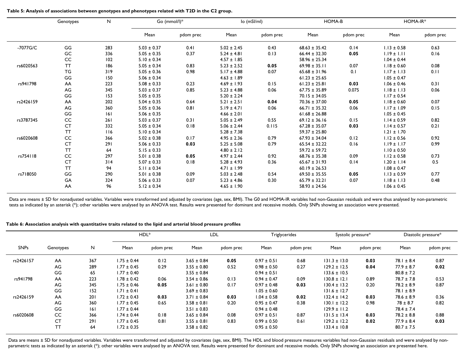|           | Genotypes | N<br>Go (mmol/l)* |                 |           | lo (mSl/ml)     | <b>HOMA-B</b> |                   | HOMA-IR*  |                 |           |
|-----------|-----------|-------------------|-----------------|-----------|-----------------|---------------|-------------------|-----------|-----------------|-----------|
|           |           |                   | Mean            | pdom prec | Mean            | pdom prec     | Mean              | pdom prec | Mean            | pdom prec |
| -7077G/C  | GG        | 283               | $5.03 \pm 0.37$ | 0.41      | $5.02 \pm 2.45$ | 0.43          | $68.63 \pm 35.42$ | 0.14      | $1.13 \pm 0.58$ | 0.63      |
|           | GC        | 336               | $5.05 \pm 0.35$ | 0.37      | $5.24 \pm 4.81$ | 0.13          | $66.44 \pm 32.30$ | 0.05      | $1.19 \pm 1.11$ | 0.16      |
|           | CC        | 102               | $5.10 \pm 0.34$ |           | $4.57 \pm 1.85$ |               | $58.96 \pm 25.34$ |           | $1.04 \pm 0.44$ |           |
| rs6020563 | <b>TT</b> | 186               | $5.05 \pm 0.34$ | 0.83      | $5.23 \pm 2.52$ | 0.05          | $69.98 \pm 35.11$ | 0.07      | $1.18 \pm 0.60$ | 0.08      |
|           | TG        | 319               | $5.05 \pm 0.36$ | 0.98      | $5.17 \pm 4.88$ | 0.07          | $65.68 \pm 31.96$ | 0.1       | $1.17 \pm 1.13$ | 0.11      |
|           | GG        | 150               | $5.06 \pm 0.34$ |           | $4.63 \pm 1.89$ |               | $61.23 \pm 25.65$ |           | $1.05 \pm 0.47$ |           |
| rs941798  | AA        | 223               | $5.08 \pm 0.33$ | 0.23      | $4.69 \pm 1.93$ | 0.15          | $61.23 \pm 25.81$ | 0.03      | $1.06 \pm 0.46$ | 0.31      |
|           | AG        | 345               | $5.03 \pm 0.37$ | 0.85      | $5.23 \pm 4.88$ | 0.06          | $67.75 \pm 35.89$ | 0.075     | $1.18 \pm 1.13$ | 0.06      |
|           | GG        | 153               | $5.05 \pm 0.35$ |           | $5.20 \pm 2.24$ |               | $70.15 \pm 34.05$ |           | $1.17 \pm 0.54$ |           |
| rs2426159 | AA        | 202               | $5.04 \pm 0.35$ | 0.64      | $5.21 \pm 2.51$ | 0.04          | $70.36 \pm 37.00$ | 0.05      | $1.18 \pm 0.60$ | 0.07      |
|           | AG        | 360               | $5.05 \pm 0.36$ | 0.81      | $5.19 \pm 4.71$ | 0.06          | $66.71 \pm 35.32$ | 0.06      | $1.17 \pm 1.09$ | 0.15      |
|           | GG        | 6                 | $5.06 \pm 0.35$ |           | $4.66 \pm 2.01$ |               | $61.68 \pm 26.88$ |           | $1.05 \pm 0.45$ |           |
| rs3787345 | CC        | 261               | $5.03 \pm 0.37$ | 0.31      | $5.05 \pm 2.49$ | 0.55          | $69.12 \pm 36.16$ | 0.15      | $1.14 \pm 0.59$ | 0.82      |
|           | <b>CT</b> | 332               | $5.05 \pm 0.34$ | 0.18      | $5.06 \pm 2.44$ | 0.115         | $67.28 \pm 35.07$ | 0.03      | $1.14 \pm 0.57$ | 0.21      |
|           | <b>TT</b> | 116               | $5.10 \pm 0.34$ |           | $5.28 \pm 7.38$ |               | $59.37 \pm 25.80$ |           | $1.21 \pm 1.70$ |           |
| rs6020608 | CC        | 366               | $5.02 \pm 0.38$ | 0.17      | $4.95 \pm 2.36$ | 0.79          | $67.93 \pm 34.04$ | 0.12      | $1.12 \pm 0.56$ | 0.92      |
|           | <b>CT</b> | 291               | $5.06 \pm 0.33$ | 0.03      | $5.25 \pm 5.08$ | 0.79          | $65.54 \pm 32.22$ | 0.16      | $1.19 \pm 1.17$ | 0.99      |
|           | <b>TT</b> | 64                | $5.15 \pm 0.33$ |           | $4.80 \pm 2.12$ |               | $59.72 \pm 59.72$ |           | $1.10 \pm 0.50$ |           |
| rs754118  | CC        | 297               | $5.01 \pm 0.38$ | 0.05      | $4.97 \pm 2.44$ | 0.92          | $68.76 \pm 35.38$ | 0.09      | $1.12 \pm 0.58$ | 0.73      |
|           | <b>CT</b> | 314               | $5.07 \pm 0.33$ | 0.18      | $5.28 \pm 4.93$ | 0.36          | $65.67 \pm 31.93$ | 0.14      | $1.20 \pm 1.14$ | 0.5       |
|           | <b>TT</b> | 94                | $5.11 \pm 0.34$ |           | $4.71 \pm 1.99$ |               | $60.19 \pm 26.53$ |           | $1.08 \pm 0.47$ |           |
| rs718050  | GG        | 290               | $5.01 \pm 0.38$ | 0.09      | $5.03 \pm 2.48$ | 0.54          | $69.50 \pm 35.55$ | 0.05      | $1.13 \pm 0.59$ | 0.77      |
|           | GA        | 324               | $5.06 \pm 0.33$ | 0.07      | $5.23 \pm 4.86$ | 0.30          | $65.79 \pm 32.21$ | 0.07      | $1.18 \pm 1.13$ | 0.48      |
|           | AA        | 96                | $5.12 \pm 0.34$ |           | $4.65 \pm 1.90$ |               | $58.93 \pm 24.56$ |           | $1.06 \pm 0.45$ |           |

Data are means ± SD for nonadjusted variables. Variables were transformed and adjusted by covariates (age, sex, BMI). The G0 and HOMA-IR variables had non-Gaussian residuals and were thus analysed by non-parametric tests as indicated by an asterisk (\*); other variables were analysed by an ANOVA test. Results were presented for dominant and recessive models. Only SNPs showing an association were presented.

| Table 6: Association analysis with quantitative traits related to the lipid and arterial blood pressure profiles |  |  |  |  |  |
|------------------------------------------------------------------------------------------------------------------|--|--|--|--|--|
|------------------------------------------------------------------------------------------------------------------|--|--|--|--|--|

|             |           |     |                 | HDL <sup>*</sup> | <b>LDL</b>      |           |                 | Triglycerides |                  | Systolic pressure* |                | Diastolic pressure* |  |
|-------------|-----------|-----|-----------------|------------------|-----------------|-----------|-----------------|---------------|------------------|--------------------|----------------|---------------------|--|
| <b>SNPs</b> | Genotypes | N   | Mean            | pdom prec        | Mean            | pdom prec | Mean            | pdom prec     | Mean             | pdom prec          | Mean           | pdom prec           |  |
| rs2426157   | AA        | 367 | $1.75 \pm 0.44$ | 0.12             | $3.65 \pm 0.84$ | 0.05      | $0.97 \pm 0.51$ | 0.68          | $131.3 \pm 13.0$ | 0.03               | $78.1 \pm 8.4$ | 0.87                |  |
|             | AG        | 289 | $1.77 \pm 0.45$ | 0.29             | $3.55 \pm 0.80$ | 0.52      | $0.98 \pm 0.50$ | 0.27          | $129.2 \pm 12.5$ | 0.04               | $77.9 \pm 8.7$ | 0.02                |  |
|             | GG        | 65  | $1.77 \pm 0.40$ |                  | $3.55 \pm 0.84$ |           | $0.94 \pm 0.51$ |               | $133.6 \pm 10.5$ |                    | $80.8 \pm 7.2$ |                     |  |
| rs941798    | AA        | 223 | $1.78 \pm 0.42$ | 0.06             | $3.54 \pm 0.86$ | 0.13      | $0.94 \pm 0.47$ | 0.09          | $130.8 \pm 12.1$ | 0.89               | $78.7 \pm 7.8$ | 0.53                |  |
|             | AG.       | 345 | $1.75 \pm 0.46$ | 0.05             | $3.61 \pm 0.80$ | 0.17      | $0.97 \pm 0.48$ | 0.03          | $130.4 \pm 13.2$ | 0.20               | $78.2 \pm 8.9$ | 0.87                |  |
|             | GG        | 152 | $1.71 \pm 0.41$ |                  | $3.69 \pm 0.83$ |           | $1.05 \pm 0.60$ |               | $131.6 \pm 12.7$ |                    | $78.1 \pm 8.9$ |                     |  |
| rs2426159   | AA        | 201 | $1.72 \pm 0.43$ | 0.03             | $3.71 \pm 0.84$ | 0.03      | $1.04 \pm 0.58$ | 0.02          | $132.4 \pm 14.2$ | 0.03               | $78.6 \pm 8.9$ | 0.36                |  |
|             | AG.       | 360 | $1.77 \pm 0.45$ | 0.65             | $3.58 \pm 0.81$ | 0.20      | $0.95 \pm 0.47$ | 0.38          | $130.1 \pm 12.2$ | 0.98               | $78 \pm 8.7$   | 0.82                |  |
|             | GG        | 6   | $1.77 \pm 0.44$ |                  | $3.51 \pm 0.83$ |           | $0.94 \pm 0.48$ |               | $129.9 \pm 11.2$ |                    | $78.4 \pm 7.4$ |                     |  |
| rs6020608   | CC        | 366 | $1.74 \pm 0.44$ | 0.18             | $3.65 \pm 0.84$ | 0.08      | $0.97 \pm 0.51$ | 0.87          | $131.5 \pm 13.4$ | 0.03               | $78.2 \pm 8.8$ | 0.88                |  |
|             | <b>CT</b> | 291 | $1.77 \pm 0.45$ | 0.81             | $3.55 \pm 0.81$ | 0.83      | $0.99 \pm 0.50$ | 0.61          | $129.2 \pm 12.2$ | 0.02               | $77.9 \pm 8.4$ | 0.03                |  |
|             | <b>TT</b> | 64  | $1.72 \pm 0.35$ |                  | $3.58 \pm 0.82$ |           | $0.95 \pm 0.50$ |               | $133.4 \pm 10.8$ |                    | $80.7 \pm 7.5$ |                     |  |

Data are means ± SD for nonadjusted variables. Variables were transformed and adjusted by covariates (age, sex, BMI). The HDL and blood pressure measures variables had non-Gaussian residuals and were analysed by nonparametric tests as indicated by an asterisk (\*); other variables were analysed by an ANOVA test. Results were presented for dominant and recessive models. Only SNPs showing an association are presented here.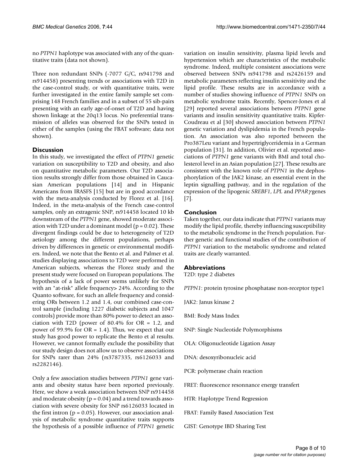no *PTPN1* haplotype was associated with any of the quantitative traits (data not shown).

Three non redundant SNPs (-7077 G/C, rs941798 and rs914458) presenting trends or associations with T2D in the case-control study, or with quantitative traits, were further investigated in the entire family sample set comprising 148 French families and in a subset of 55 sib-pairs presenting with an early age-of-onset of T2D and having shown linkage at the 20q13 locus. No preferential transmission of alleles was observed for the SNPs tested in either of the samples (using the FBAT software; data not shown).

## **Discussion**

In this study, we investigated the effect of *PTPN1* genetic variation on susceptibility to T2D and obesity, and also on quantitative metabolic parameters. Our T2D association results strongly differ from those obtained in Caucasian American populations [14] and in Hispanic Americans from IRASFS [15] but are in good accordance with the meta-analysis conducted by Florez et al. [16]. Indeed, in the meta-analysis of the French case-control samples, only an extragenic SNP, rs914458 located 10 kb downstream of the *PTPN1* gene, showed moderate association with T2D under a dominant model ( $p = 0.02$ ). These divergent findings could be due to heterogeneity of T2D aetiology among the different populations, perhaps driven by differences in genetic or environmental modifiers. Indeed, we note that the Bento et al. and Palmer et al. studies displaying associations to T2D were performed in American subjects, whereas the Florez study and the present study were focused on European populations. The hypothesis of a lack of power seems unlikely for SNPs with an "at-risk" allele frequency> 24%. According to the Quanto software, for such an allele frequency and considering ORs between 1.2 and 1.4, our combined case-control sample (including 1227 diabetic subjects and 1047 controls) provide more than 80% power to detect an association with T2D (power of  $80.4\%$  for OR = 1.2, and power of 99.9% for OR = 1.4). Thus, we expect that our study has good power to replicate the Bento et al results. However, we cannot formally exclude the possibility that our study design does not allow us to observe associations for SNPs rarer than 24% (rs3787335, rs6126033 and rs2282146).

Only a few association studies between *PTPN1* gene variants and obesity status have been reported previously. Here, we show a weak association between SNP rs914458 and moderate obesity ( $p = 0.04$ ) and a trend towards association with severe obesity for SNP rs6126033 located in the first intron  $(p = 0.05)$ . However, our association analysis of metabolic syndrome quantitative traits supports the hypothesis of a possible influence of *PTPN1* genetic variation on insulin sensitivity, plasma lipid levels and hypertension which are characteristics of the metabolic syndrome. Indeed, multiple consistent associations were observed between SNPs rs941798 and rs2426159 and metabolic parameters reflecting insulin sensitivity and the lipid profile. These results are in accordance with a number of studies showing influence of *PTPN1* SNPs on metabolic syndrome traits. Recently, Spencer-Jones et al [29] reported several associations between *PTPN1* gene variants and insulin sensitivity quantitative traits. Kipfer-Coudreau et al [30] showed association between *PTPN1* genetic variation and dyslipidemia in the French population. An association was also reported between the Pro387Leu variant and hypertriglyceridemia in a German population [31]. In addition, Olivier et al. reported associations of *PTPN1* gene variants with BMI and total cholesterol level in an Asian population [27]. These results are consistent with the known role of *PTPN1* in the dephosphorylation of the JAK2 kinase, an essential event in the leptin signalling pathway, and in the regulation of the expression of the lipogenic *SREBF1*, *LPL* and *PPAR*<sup>γ</sup> genes [7].

## **Conclusion**

Taken together, our data indicate that *PTPN1* variants may modify the lipid profile, thereby influencing susceptibility to the metabolic syndrome in the French population. Further genetic and functional studies of the contribution of *PTPN1* variation to the metabolic syndrome and related traits are clearly warranted.

### **Abbreviations**

T2D: type 2 diabetes

*PTPN1*: protein tyrosine phosphatase non-receptor type1

JAK2: Janus kinase 2

BMI: Body Mass Index

- SNP: Single Nucleotide Polymorphisms
- OLA: Oligonucleotide Ligation Assay
- DNA: desoxyribonucleic acid
- PCR: polymerase chain reaction
- FRET: fluorescence resonnance energy transfert
- HTR: Haplotype Trend Regression
- FBAT: Family Based Association Test
- GIST: Genotype IBD Sharing Test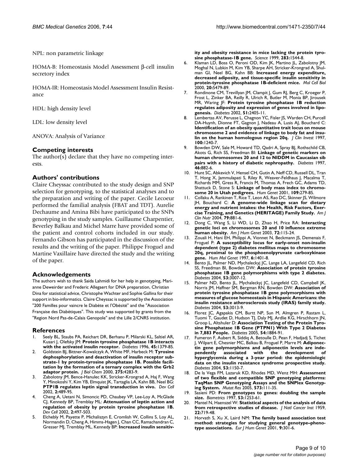NPL: non parametric linkage

HOMA-B: Homeostasis Model Assessment β-cell insulin secretory index

HOMA-IR: Homeostasis Model Assessment Insulin Resistance

HDL: high density level

LDL: low density level

ANOVA: Analysis of Variance

#### **Competing interests**

The author(s) declare that they have no competing interests.

#### **Authors' contributions**

Claire Cheyssac contributed to the study design and SNP selection for genotyping, to the statistical analyses and to the preparation and writing of the paper. Cecile Lecoeur performed the familial analysis (FBAT and TDT). Aurelie Dechaume and Amina Bibi have participated to the SNPs genotyping in the study samples. Guillaume Charpentier, Beverley Balkau and Michel Marre have provided some of the patient and control cohorts included in our study. Fernando Gibson has participated in the discussion of the results and the writing of the paper. Philippe Froguel and Martine Vaxillaire have directed the study and the writing of the paper.

#### **Acknowledgements**

The authors wish to thank Saida Lahmidi for her help in genotyping, Marianne Deweirder and Frederic Allegaert for DNA preparation, Christian Dina for statistical advice, Christophe Wachter and Sophie Gallina for their support in bio-informatics. Claire Cheyssac is supported by the Association "200 Familles pour vaincre le Diabète et l'Obésité" and the "Association Française des Diabétiques". This study was supported by grants from the "Region Nord Pas-de-Calais Genopole" and the Lille 2/CNRS institution.

#### **References**

- Seely BL, Staubs PA, Reichart DR, Berhanu P, Milarski KL, Saltiel AR, Kusari J, Olefsky JM: **[Protein tyrosine phosphatase 1B interacts](http://www.ncbi.nlm.nih.gov/entrez/query.fcgi?cmd=Retrieve&db=PubMed&dopt=Abstract&list_uids=8826975) [with the activated insulin receptor.](http://www.ncbi.nlm.nih.gov/entrez/query.fcgi?cmd=Retrieve&db=PubMed&dopt=Abstract&list_uids=8826975)** *Diabetes* 1996, **45:**1379-85.
- 2. Goldstein BJ, Bittner-Kowalczyk A, White MF, Harbeck M: **[Tyrosine](http://www.ncbi.nlm.nih.gov/entrez/query.fcgi?cmd=Retrieve&db=PubMed&dopt=Abstract&list_uids=10660596) dephosphorylation and deactivation of insulin receptor sub[strate-1 by protein-tyrosine phosphatase 1B. Possible facili](http://www.ncbi.nlm.nih.gov/entrez/query.fcgi?cmd=Retrieve&db=PubMed&dopt=Abstract&list_uids=10660596)tation by the formation of a ternary complex with the Grb2 [adaptor protein.](http://www.ncbi.nlm.nih.gov/entrez/query.fcgi?cmd=Retrieve&db=PubMed&dopt=Abstract&list_uids=10660596)** *J Biol Chem* 2000, **275:**4283-9.
- 3. Zabolotny JM, Bence-Hanulec KK, Stricker-Krongrad A, Haj F, Wang Y, Minokoshi Y, Kim YB, Elmquist JK, Tartaglia LA, Kahn BB, Neel BG: **[PTP1B regulates leptin signal transduction in vivo.](http://www.ncbi.nlm.nih.gov/entrez/query.fcgi?cmd=Retrieve&db=PubMed&dopt=Abstract&list_uids=11970898)** *Dev Cell* 2002, **2:**489-95.
- 4. Cheng A, Uetani N, Simoncic PD, Chaubey VP, Lee-Loy A, McGlade CJ, Kennedy BP, Tremblay ML: **[Attenuation of leptin action and](http://www.ncbi.nlm.nih.gov/entrez/query.fcgi?cmd=Retrieve&db=PubMed&dopt=Abstract&list_uids=11970899) [regulation of obesity by protein tyrosine phosphatase 1B.](http://www.ncbi.nlm.nih.gov/entrez/query.fcgi?cmd=Retrieve&db=PubMed&dopt=Abstract&list_uids=11970899)** *Dev Cell* 2002, **2:**497-503.
- 5. Elchebly M, Payette P, Michaliszyn E, Cromlish W, Collins S, Loy AL, Normandin D, Cheng A, Himms-Hagen J, Chan CC, Ramachandran C, Gresser MJ, Tremblay ML, Kennedy BP: **[Increased insulin sensitiv-](http://www.ncbi.nlm.nih.gov/entrez/query.fcgi?cmd=Retrieve&db=PubMed&dopt=Abstract&list_uids=10066179)**

**[ity and obesity resistance in mice lacking the protein tyro](http://www.ncbi.nlm.nih.gov/entrez/query.fcgi?cmd=Retrieve&db=PubMed&dopt=Abstract&list_uids=10066179)[sine phosphatase-1B gene.](http://www.ncbi.nlm.nih.gov/entrez/query.fcgi?cmd=Retrieve&db=PubMed&dopt=Abstract&list_uids=10066179)** *Science* 1999, **283:**1544-8.

- 6. Klaman LD, Boss O, Peroni OD, Kim JK, Martino JL, Zabolotny JM, Moghal N, Lubkin M, Kim YB, Sharpe AH, Stricker-Krongrad A, Shulman GI, Neel BG, Kahn BB: **[Increased energy expenditure,](http://www.ncbi.nlm.nih.gov/entrez/query.fcgi?cmd=Retrieve&db=PubMed&dopt=Abstract&list_uids=10891488) [decreased adiposity, and tissue-specific insulin sensitivity in](http://www.ncbi.nlm.nih.gov/entrez/query.fcgi?cmd=Retrieve&db=PubMed&dopt=Abstract&list_uids=10891488) [protein-tyrosine phosphatase 1B-deficient mice.](http://www.ncbi.nlm.nih.gov/entrez/query.fcgi?cmd=Retrieve&db=PubMed&dopt=Abstract&list_uids=10891488)** *Mol Cell Biol* 2000, **20:**5479-89.
- 7. Rondinone CM, Trevillyan JM, Clampit J, Gum RJ, Berg C, Kroeger P, Frost L, Zinker BA, Reilly R, Ulrich R, Butler M, Monia BP, Jirousek MR, Waring JF: **[Protein tyrosine phosphatase 1B reduction](http://www.ncbi.nlm.nih.gov/entrez/query.fcgi?cmd=Retrieve&db=PubMed&dopt=Abstract&list_uids=12145151) [regulates adiposity and expression of genes involved in lipo](http://www.ncbi.nlm.nih.gov/entrez/query.fcgi?cmd=Retrieve&db=PubMed&dopt=Abstract&list_uids=12145151)[genesis.](http://www.ncbi.nlm.nih.gov/entrez/query.fcgi?cmd=Retrieve&db=PubMed&dopt=Abstract&list_uids=12145151)** *Diabetes* 2002, **51:**2405-11.
- 8. Lembertas AV, Perusse L, Chagnon YC, Fisler JS, Warden CH, Purcell DA-Huynh, Dionne FT, Gagnon J, Nadeau A, Lusis AJ, Bouchard C: **Identification of an obesity quantitative trait locus on mouse [chromosome 2 and evidence of linkage to body fat and insu](http://www.ncbi.nlm.nih.gov/entrez/query.fcgi?cmd=Retrieve&db=PubMed&dopt=Abstract&list_uids=9276742)[lin on the human homologous region 20q.](http://www.ncbi.nlm.nih.gov/entrez/query.fcgi?cmd=Retrieve&db=PubMed&dopt=Abstract&list_uids=9276742)** *J Clin Invest* 1997, **100:**1240-7.
- 9. Bowden DW, Sale M, Howard TD, Qadri A, Spray BJ, Rothschild CB, Akots G, Rich SS, Freedman BI: **[Linkage of genetic markers on](http://www.ncbi.nlm.nih.gov/entrez/query.fcgi?cmd=Retrieve&db=PubMed&dopt=Abstract&list_uids=9133559) [human chromosomes 20 and 12 to NIDDM in Caucasian sib](http://www.ncbi.nlm.nih.gov/entrez/query.fcgi?cmd=Retrieve&db=PubMed&dopt=Abstract&list_uids=9133559) [pairs with a history of diabetic nephropathy.](http://www.ncbi.nlm.nih.gov/entrez/query.fcgi?cmd=Retrieve&db=PubMed&dopt=Abstract&list_uids=9133559)** *Diabetes* 1997, **46:**882-6.
- 10. Hunt SC, Abkevich V, Hensel CH, Gutin A, Neff CD, Russell DL, Tran T, Hong X, Jammulapati S, Riley R, Weaver-Feldhaus J, Macalma T, Richards MM, Gress R, Francis M, Thomas A, Frech GC, Adams TD, Shattuck D, Stone S: **[Linkage of body mass index to chromo](http://www.ncbi.nlm.nih.gov/entrez/query.fcgi?cmd=Retrieve&db=PubMed&dopt=Abstract&list_uids=11702208)[some 20 in Utah pedigrees.](http://www.ncbi.nlm.nih.gov/entrez/query.fcgi?cmd=Retrieve&db=PubMed&dopt=Abstract&list_uids=11702208)** *Hum Genet* 2001, **109:**279-85.
- 11. Collaku A, Rankinen T, Rice T, Leon AS, Rao DC, Skinner JS, Wilmore JH, Bouchard C: **[A genome-wide linkage scan for dietary](http://www.ncbi.nlm.nih.gov/entrez/query.fcgi?cmd=Retrieve&db=PubMed&dopt=Abstract&list_uids=15113729) [energy and nutrient intakes: the Health, Risk Factors, Exer](http://www.ncbi.nlm.nih.gov/entrez/query.fcgi?cmd=Retrieve&db=PubMed&dopt=Abstract&list_uids=15113729)[cise Training, and Genetics \(HERITAGE\) Family Study.](http://www.ncbi.nlm.nih.gov/entrez/query.fcgi?cmd=Retrieve&db=PubMed&dopt=Abstract&list_uids=15113729)** *Am J Clin Nutr* 2004, **79:**881-6.
- 12. Dong C, Wang S, Li WD, Li D, Zhao H, Price RA: **[Interacting](http://www.ncbi.nlm.nih.gov/entrez/query.fcgi?cmd=Retrieve&db=PubMed&dopt=Abstract&list_uids=12478478) [genetic loci on chromosomes 20 and 10 influence extreme](http://www.ncbi.nlm.nih.gov/entrez/query.fcgi?cmd=Retrieve&db=PubMed&dopt=Abstract&list_uids=12478478) [human obesity.](http://www.ncbi.nlm.nih.gov/entrez/query.fcgi?cmd=Retrieve&db=PubMed&dopt=Abstract&list_uids=12478478)** *Am J Hum Genet* 2003, **72:**115-24.
- 13. Zouali H, Hani EH, Philippi A, Vionnet N, Beckmann JS, Demenais F, Froguel P: **[A susceptibility locus for early-onset non-insulin](http://www.ncbi.nlm.nih.gov/entrez/query.fcgi?cmd=Retrieve&db=PubMed&dopt=Abstract&list_uids=9285775) dependent (type 2) diabetes mellitus maps to chromosome [20q, proximal to the phosphoenolpyruvate carboxykinase](http://www.ncbi.nlm.nih.gov/entrez/query.fcgi?cmd=Retrieve&db=PubMed&dopt=Abstract&list_uids=9285775) [gene.](http://www.ncbi.nlm.nih.gov/entrez/query.fcgi?cmd=Retrieve&db=PubMed&dopt=Abstract&list_uids=9285775)** *Hum Mol Genet* 1997, **6:**1401-8.
- 14. Bento JL, Palmer ND, Mychaleckyj JC, Lange LA, Langefeld CD, Rich SS, Freedman BI, Bowden DW: **[Association of protein tyrosine](http://www.ncbi.nlm.nih.gov/entrez/query.fcgi?cmd=Retrieve&db=PubMed&dopt=Abstract&list_uids=15504984) [phosphatase 1B gene polymorphisms with type 2 diabetes.](http://www.ncbi.nlm.nih.gov/entrez/query.fcgi?cmd=Retrieve&db=PubMed&dopt=Abstract&list_uids=15504984)** *Diabetes* 2004, **53:**3007-12.
- 15. Palmer ND, Bento JL, Mychaleckyj JC, Langefeld CD, Campbell JK, Norris JM, Haffner SM, Bergman RN, Bowden DW: **[Association of](http://www.ncbi.nlm.nih.gov/entrez/query.fcgi?cmd=Retrieve&db=PubMed&dopt=Abstract&list_uids=15504985) protein tyrosine phosphatase 1B gene polymorphisms with measures of glucose homeostasis in Hispanic Americans: the [insulin resistance atherosclerosis study \(IRAS\) family study.](http://www.ncbi.nlm.nih.gov/entrez/query.fcgi?cmd=Retrieve&db=PubMed&dopt=Abstract&list_uids=15504985)** *Diabetes* 2004, **53:**3013-9.
- 16. Florez JC, Agapakis CM, Burtt NP, Sun M, Almgren P, Rastam L, Tuomi T, Gaudet D, Hudson TJ, Daly MJ, Ardlie KG, Hirschhorn JN, Groop L, Altshuler D: **[Association Testing of the Protein Tyro](http://www.ncbi.nlm.nih.gov/entrez/query.fcgi?cmd=Retrieve&db=PubMed&dopt=Abstract&list_uids=15919813)[sine Phosphatase 1B Gene \(PTPN1\) With Type 2 Diabetes](http://www.ncbi.nlm.nih.gov/entrez/query.fcgi?cmd=Retrieve&db=PubMed&dopt=Abstract&list_uids=15919813) [in 7,883 People.](http://www.ncbi.nlm.nih.gov/entrez/query.fcgi?cmd=Retrieve&db=PubMed&dopt=Abstract&list_uids=15919813)** *Diabetes* 2005, **54:**1884-91.
- 17. Fumeron F, Aubert R, Siddiq A, Betoulle D, Pean F, Hadjadj S, Tichet J, Wilpart E, Chesnier MC, Balkau B, Froguel P, Marre M: **[Adiponec](http://www.ncbi.nlm.nih.gov/entrez/query.fcgi?cmd=Retrieve&db=PubMed&dopt=Abstract&list_uids=15047634)tin gene polymorphisms and adiponectin levels are inde[pendently associated with the development of](http://www.ncbi.nlm.nih.gov/entrez/query.fcgi?cmd=Retrieve&db=PubMed&dopt=Abstract&list_uids=15047634) hyperglycemia during a 3-year period: the epidemiologic data on the insulin resistance syndrome prospective study.** *Diabetes* 2004, **53:**1150-7.
- 18. De la Vega FM, Lazaruk KD, Rhodes MD, Wenz MH: **[Assessment](http://www.ncbi.nlm.nih.gov/entrez/query.fcgi?cmd=Retrieve&db=PubMed&dopt=Abstract&list_uids=15829242) of two flexible and compatible SNP genotyping platforms: [TaqMan SNP Genotyping Assays and the SNPlex Genotyp](http://www.ncbi.nlm.nih.gov/entrez/query.fcgi?cmd=Retrieve&db=PubMed&dopt=Abstract&list_uids=15829242)[ing System.](http://www.ncbi.nlm.nih.gov/entrez/query.fcgi?cmd=Retrieve&db=PubMed&dopt=Abstract&list_uids=15829242)** *Mutat Res* 2005, **573:**111-35.
- 19. Sasieni PD: **[From genotypes to genes: doubling the sample](http://www.ncbi.nlm.nih.gov/entrez/query.fcgi?cmd=Retrieve&db=PubMed&dopt=Abstract&list_uids=9423247) [size.](http://www.ncbi.nlm.nih.gov/entrez/query.fcgi?cmd=Retrieve&db=PubMed&dopt=Abstract&list_uids=9423247)** *Biometrics* 1997, **53:**1253-61.
- 20. Mantel N, Haenszel W: **[Statistical aspects of the analysis of data](http://www.ncbi.nlm.nih.gov/entrez/query.fcgi?cmd=Retrieve&db=PubMed&dopt=Abstract&list_uids=13655060) [from retrospective studies of disease.](http://www.ncbi.nlm.nih.gov/entrez/query.fcgi?cmd=Retrieve&db=PubMed&dopt=Abstract&list_uids=13655060)** *J Natl Cancer Inst* 1959, **22:**719-48.
- 21. Horvath S, Xu X, Laird NM: **[The family based association test](http://www.ncbi.nlm.nih.gov/entrez/query.fcgi?cmd=Retrieve&db=PubMed&dopt=Abstract&list_uids=11313775) [method: strategies for studying general genotype–pheno](http://www.ncbi.nlm.nih.gov/entrez/query.fcgi?cmd=Retrieve&db=PubMed&dopt=Abstract&list_uids=11313775)[type associations.](http://www.ncbi.nlm.nih.gov/entrez/query.fcgi?cmd=Retrieve&db=PubMed&dopt=Abstract&list_uids=11313775)** *Eur J Hum Genet* 2001, **9:**301-6.